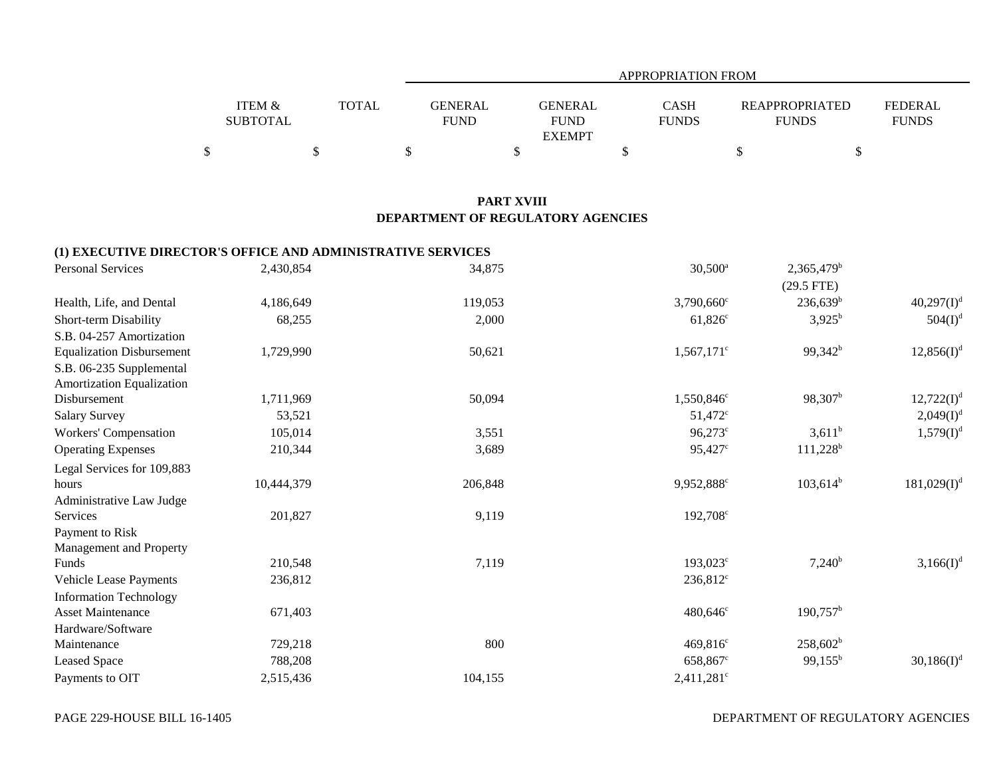|                   |              | APPROPRIATION FROM |               |              |                       |                |  |  |
|-------------------|--------------|--------------------|---------------|--------------|-----------------------|----------------|--|--|
|                   |              |                    |               |              |                       |                |  |  |
| <b>ITEM &amp;</b> | <b>TOTAL</b> | GENERAL            | GENERAL       | <b>CASH</b>  | <b>REAPPROPRIATED</b> | <b>FEDERAL</b> |  |  |
| <b>SUBTOTAL</b>   |              | FUND               | <b>FUND</b>   | <b>FUNDS</b> | <b>FUNDS</b>          | <b>FUNDS</b>   |  |  |
|                   |              |                    | <b>EXEMPT</b> |              |                       |                |  |  |
|                   |              |                    |               |              |                       |                |  |  |

# **PART XVIII DEPARTMENT OF REGULATORY AGENCIES**

## **(1) EXECUTIVE DIRECTOR'S OFFICE AND ADMINISTRATIVE SERVICES**

| <b>Personal Services</b>         | 2,430,854  | 34,875  | $30,500^{\rm a}$         | $2,365,479^b$<br>$(29.5$ FTE) |                |
|----------------------------------|------------|---------|--------------------------|-------------------------------|----------------|
| Health, Life, and Dental         | 4,186,649  | 119,053 | $3,790,660$ °            | $236,639^b$                   | $40,297(1)^d$  |
| Short-term Disability            | 68,255     | 2,000   | $61,826^{\circ}$         | $3,925^b$                     | $504(I)^{d}$   |
| S.B. 04-257 Amortization         |            |         |                          |                               |                |
| <b>Equalization Disbursement</b> | 1,729,990  | 50,621  | $1,567,171$ <sup>c</sup> | $99,342^b$                    | $12,856(I)^d$  |
| S.B. 06-235 Supplemental         |            |         |                          |                               |                |
| Amortization Equalization        |            |         |                          |                               |                |
| Disbursement                     | 1,711,969  | 50,094  | 1,550,846 <sup>c</sup>   | $98,307^b$                    | $12,722(I)^d$  |
| <b>Salary Survey</b>             | 53,521     |         | $51,472^{\circ}$         |                               | $2,049(I)^{d}$ |
| Workers' Compensation            | 105,014    | 3,551   | $96,273^{\circ}$         | $3,611^b$                     | $1,579(I)^{d}$ |
| <b>Operating Expenses</b>        | 210,344    | 3,689   | 95,427 <sup>c</sup>      | $111,228$ <sup>b</sup>        |                |
| Legal Services for 109,883       |            |         |                          |                               |                |
| hours                            | 10,444,379 | 206,848 | 9,952,888 <sup>c</sup>   | $103,614^b$                   | $181,029(I)^d$ |
| Administrative Law Judge         |            |         |                          |                               |                |
| Services                         | 201,827    | 9,119   | $192,708^{\circ}$        |                               |                |
| Payment to Risk                  |            |         |                          |                               |                |
| Management and Property          |            |         |                          |                               |                |
| Funds                            | 210,548    | 7,119   | $193,023^{\circ}$        | $7,240^b$                     | $3,166(I)^d$   |
| Vehicle Lease Payments           | 236,812    |         | $236,812^{\circ}$        |                               |                |
| <b>Information Technology</b>    |            |         |                          |                               |                |
| <b>Asset Maintenance</b>         | 671,403    |         | $480,646^{\circ}$        | $190,757^{\rm b}$             |                |
| Hardware/Software                |            |         |                          |                               |                |
| Maintenance                      | 729,218    | 800     | $469,816^{\circ}$        | $258,602^b$                   |                |
| <b>Leased Space</b>              | 788,208    |         | 658,867 <sup>c</sup>     | $99,155^{\rm b}$              | $30,186(I)^d$  |
| Payments to OIT                  | 2,515,436  | 104,155 | $2,411,281$ <sup>c</sup> |                               |                |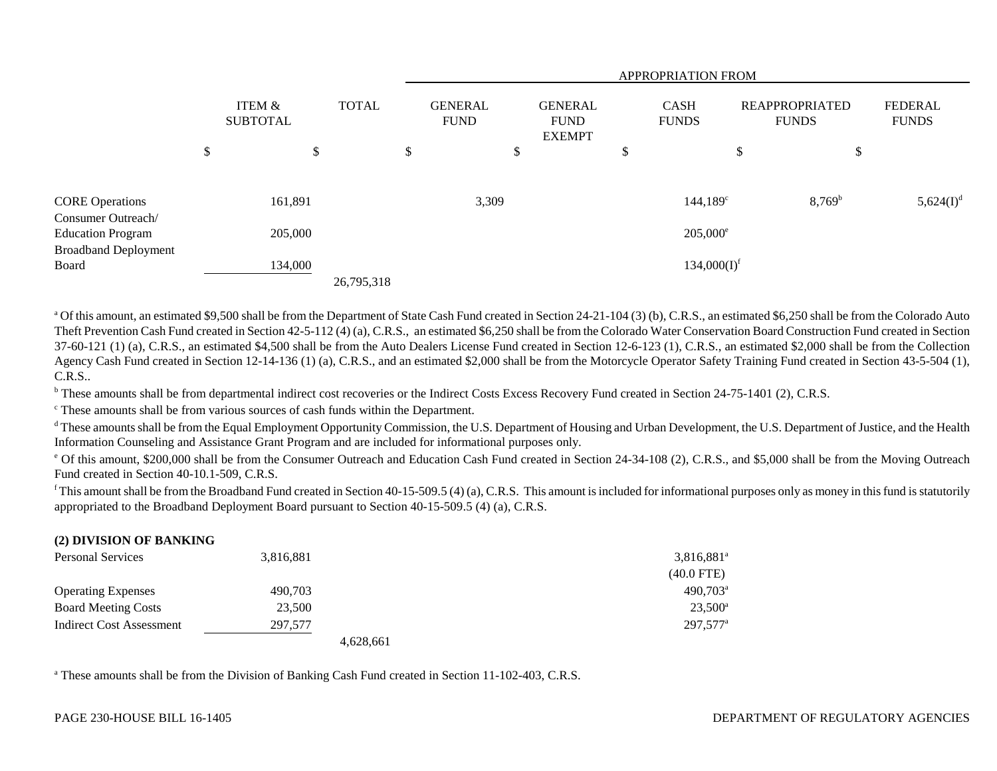|                                                |                           |    |              |    |                               | <b>APPROPRIATION FROM</b> |                                                |   |                             |    |                                       |                                |
|------------------------------------------------|---------------------------|----|--------------|----|-------------------------------|---------------------------|------------------------------------------------|---|-----------------------------|----|---------------------------------------|--------------------------------|
|                                                | ITEM &<br><b>SUBTOTAL</b> |    | <b>TOTAL</b> |    | <b>GENERAL</b><br><b>FUND</b> |                           | <b>GENERAL</b><br><b>FUND</b><br><b>EXEMPT</b> |   | <b>CASH</b><br><b>FUNDS</b> |    | <b>REAPPROPRIATED</b><br><b>FUNDS</b> | <b>FEDERAL</b><br><b>FUNDS</b> |
|                                                | \$                        | \$ |              | \$ |                               | \$                        |                                                | D |                             | \$ | \$                                    |                                |
| <b>CORE Operations</b>                         | 161,891                   |    |              |    | 3,309                         |                           |                                                |   | $144,189^{\circ}$           |    | $8,769^{\rm b}$                       | 5,624(I) <sup>d</sup>          |
| Consumer Outreach/<br><b>Education Program</b> | 205,000                   |    |              |    |                               |                           |                                                |   | $205,000^{\circ}$           |    |                                       |                                |
| <b>Broadband Deployment</b><br>Board           | 134,000                   |    |              |    |                               |                           |                                                |   | $134,000(I)$ <sup>f</sup>   |    |                                       |                                |
|                                                |                           |    | 26,795,318   |    |                               |                           |                                                |   |                             |    |                                       |                                |

<sup>a</sup> Of this amount, an estimated \$9,500 shall be from the Department of State Cash Fund created in Section 24-21-104 (3) (b), C.R.S., an estimated \$6,250 shall be from the Colorado Auto Theft Prevention Cash Fund created in Section 42-5-112 (4) (a), C.R.S., an estimated \$6,250 shall be from the Colorado Water Conservation Board Construction Fund created in Section 37-60-121 (1) (a), C.R.S., an estimated \$4,500 shall be from the Auto Dealers License Fund created in Section 12-6-123 (1), C.R.S., an estimated \$2,000 shall be from the Collection Agency Cash Fund created in Section 12-14-136 (1) (a), C.R.S., and an estimated \$2,000 shall be from the Motorcycle Operator Safety Training Fund created in Section 43-5-504 (1), C.R.S..

<sup>b</sup> These amounts shall be from departmental indirect cost recoveries or the Indirect Costs Excess Recovery Fund created in Section 24-75-1401 (2), C.R.S.

c These amounts shall be from various sources of cash funds within the Department.

<sup>d</sup> These amounts shall be from the Equal Employment Opportunity Commission, the U.S. Department of Housing and Urban Development, the U.S. Department of Justice, and the Health Information Counseling and Assistance Grant Program and are included for informational purposes only.

<sup>e</sup> Of this amount, \$200,000 shall be from the Consumer Outreach and Education Cash Fund created in Section 24-34-108 (2), C.R.S., and \$5,000 shall be from the Moving Outreach Fund created in Section 40-10.1-509, C.R.S.

 $f$ This amount shall be from the Broadband Fund created in Section 40-15-509.5 (4) (a), C.R.S. This amount is included for informational purposes only as money in this fund is statutorily appropriated to the Broadband Deployment Board pursuant to Section 40-15-509.5 (4) (a), C.R.S.

### **(2) DIVISION OF BANKING**

| <b>Personal Services</b>        | 3,816,881 | $3,816,881$ <sup>a</sup> |
|---------------------------------|-----------|--------------------------|
|                                 |           | $(40.0$ FTE)             |
| <b>Operating Expenses</b>       | 490,703   | $490.703^{\circ}$        |
| <b>Board Meeting Costs</b>      | 23,500    | $23,500^{\circ}$         |
| <b>Indirect Cost Assessment</b> | 297,577   | $297.577^{\circ}$        |
|                                 | 4,628,661 |                          |

<sup>a</sup> These amounts shall be from the Division of Banking Cash Fund created in Section 11-102-403, C.R.S.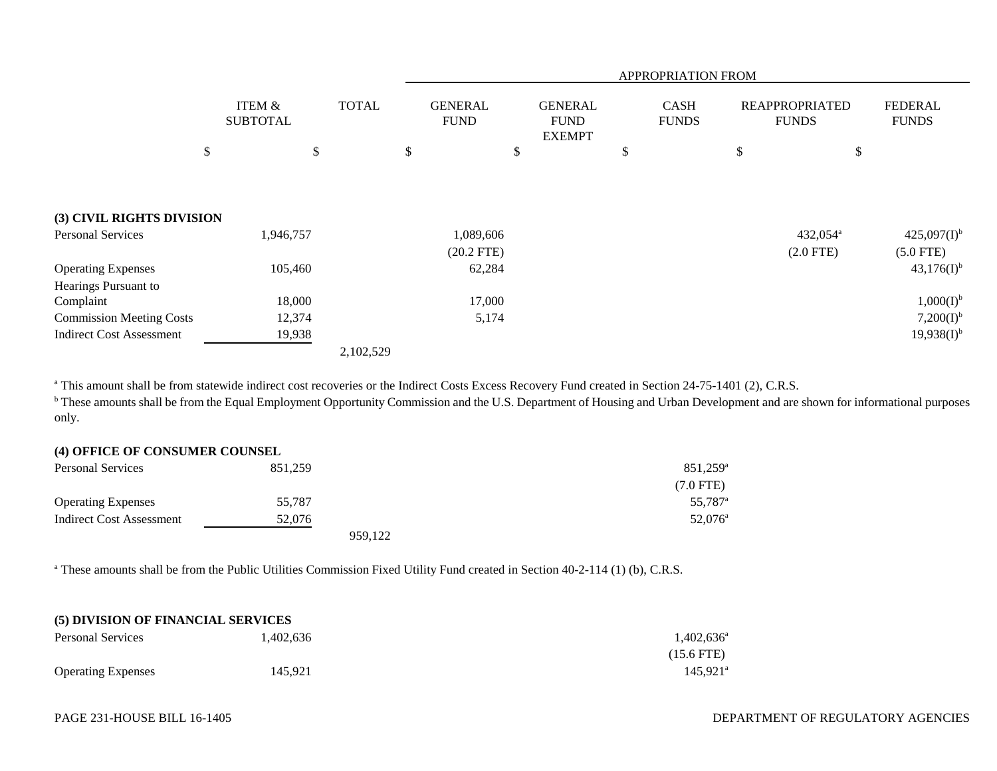|                                 |                           |              |                               |                                                | <b>APPROPRIATION FROM</b>   |                                       |                                |
|---------------------------------|---------------------------|--------------|-------------------------------|------------------------------------------------|-----------------------------|---------------------------------------|--------------------------------|
|                                 | ITEM &<br><b>SUBTOTAL</b> | <b>TOTAL</b> | <b>GENERAL</b><br><b>FUND</b> | <b>GENERAL</b><br><b>FUND</b><br><b>EXEMPT</b> | <b>CASH</b><br><b>FUNDS</b> | <b>REAPPROPRIATED</b><br><b>FUNDS</b> | <b>FEDERAL</b><br><b>FUNDS</b> |
|                                 | \$<br>\$                  |              | \$                            | \$                                             | \$                          | \$<br>\$                              |                                |
|                                 |                           |              |                               |                                                |                             |                                       |                                |
| (3) CIVIL RIGHTS DIVISION       |                           |              |                               |                                                |                             |                                       |                                |
| <b>Personal Services</b>        | 1,946,757                 |              | 1,089,606                     |                                                |                             | 432,054 <sup>a</sup>                  | $425,097(I)^{b}$               |
|                                 |                           |              | $(20.2$ FTE)                  |                                                |                             | $(2.0$ FTE)                           | $(5.0$ FTE)                    |
| <b>Operating Expenses</b>       | 105,460                   |              | 62,284                        |                                                |                             |                                       | $43,176(I)^{b}$                |
| Hearings Pursuant to            |                           |              |                               |                                                |                             |                                       |                                |
| Complaint                       | 18,000                    |              | 17,000                        |                                                |                             |                                       | $1,000(I)^{b}$                 |
| <b>Commission Meeting Costs</b> | 12,374                    |              | 5,174                         |                                                |                             |                                       | $7,200(I)^{b}$                 |
| <b>Indirect Cost Assessment</b> | 19,938                    |              |                               |                                                |                             |                                       | $19,938(1)^{b}$                |
|                                 |                           | 2,102,529    |                               |                                                |                             |                                       |                                |

<sup>a</sup> This amount shall be from statewide indirect cost recoveries or the Indirect Costs Excess Recovery Fund created in Section 24-75-1401 (2), C.R.S.

<sup>b</sup> These amounts shall be from the Equal Employment Opportunity Commission and the U.S. Department of Housing and Urban Development and are shown for informational purposes only.

### **(4) OFFICE OF CONSUMER COUNSEL**

| <b>Personal Services</b>  | 851.259 | 851,259 <sup>a</sup> |
|---------------------------|---------|----------------------|
|                           |         | $(7.0$ FTE)          |
| <b>Operating Expenses</b> | 55,787  | 55,787 <sup>a</sup>  |
| Indirect Cost Assessment  | 52.076  | 52,076               |
|                           | 959.122 |                      |

<sup>a</sup> These amounts shall be from the Public Utilities Commission Fixed Utility Fund created in Section 40-2-114 (1) (b), C.R.S.

#### **(5) DIVISION OF FINANCIAL SERVICES**

| <b>Personal Services</b>  | 1,402,636 | $1,402,636^a$     |
|---------------------------|-----------|-------------------|
|                           |           | $(15.6$ FTE)      |
| <b>Operating Expenses</b> | 145.921   | $145.921^{\circ}$ |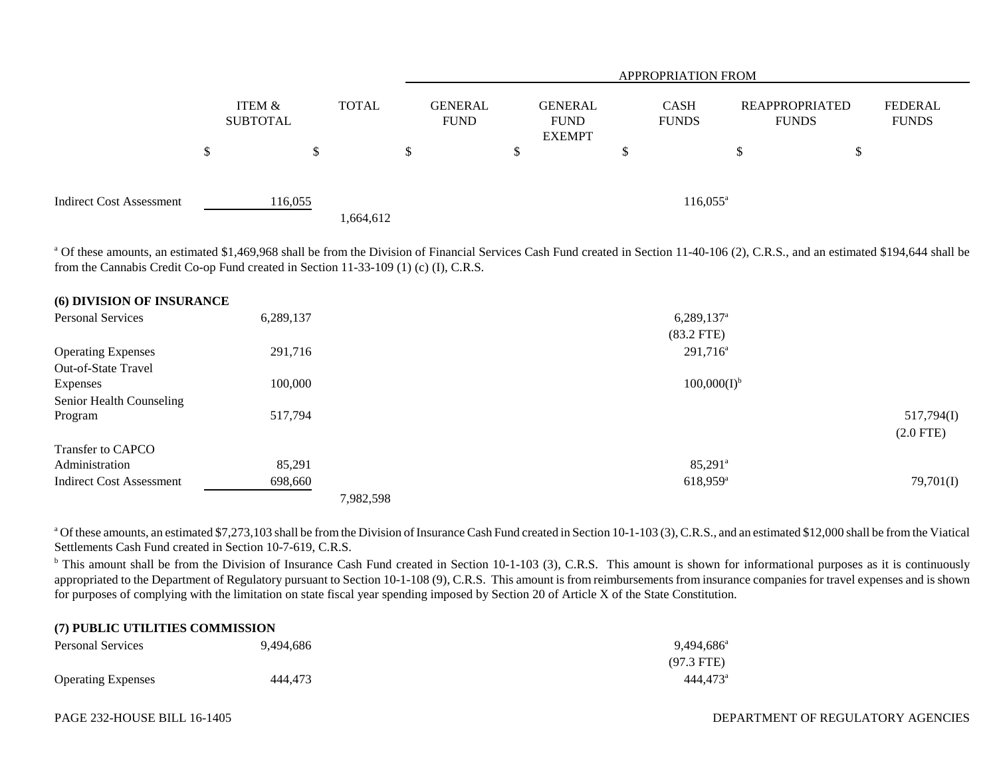|                                 |                    |              | APPROPRIATION FROM            |  |                                                |  |                             |                                       |                                |  |
|---------------------------------|--------------------|--------------|-------------------------------|--|------------------------------------------------|--|-----------------------------|---------------------------------------|--------------------------------|--|
|                                 | ITEM &<br>SUBTOTAL | <b>TOTAL</b> | <b>GENERAL</b><br><b>FUND</b> |  | <b>GENERAL</b><br><b>FUND</b><br><b>EXEMPT</b> |  | <b>CASH</b><br><b>FUNDS</b> | <b>REAPPROPRIATED</b><br><b>FUNDS</b> | <b>FEDERAL</b><br><b>FUNDS</b> |  |
|                                 | \$                 |              |                               |  |                                                |  |                             |                                       | ¢<br>D                         |  |
| <b>Indirect Cost Assessment</b> | 116,055            | 1,664,612    |                               |  |                                                |  | $116,055^{\circ}$           |                                       |                                |  |

<sup>a</sup> Of these amounts, an estimated \$1,469,968 shall be from the Division of Financial Services Cash Fund created in Section 11-40-106 (2), C.R.S., and an estimated \$194,644 shall be from the Cannabis Credit Co-op Fund created in Section 11-33-109 (1) (c) (I), C.R.S.

| <b>(6) DIVISION OF INSURANCE</b> |           |                          |             |
|----------------------------------|-----------|--------------------------|-------------|
| <b>Personal Services</b>         | 6,289,137 | $6,289,137$ <sup>a</sup> |             |
|                                  |           | $(83.2$ FTE)             |             |
| <b>Operating Expenses</b>        | 291,716   | $291,716^a$              |             |
| <b>Out-of-State Travel</b>       |           |                          |             |
| Expenses                         | 100,000   | $100,000(I)^{b}$         |             |
| Senior Health Counseling         |           |                          |             |
| Program                          | 517,794   |                          | 517,794(I)  |
|                                  |           |                          | $(2.0$ FTE) |
| Transfer to CAPCO                |           |                          |             |
| Administration                   | 85,291    | $85,291$ <sup>a</sup>    |             |
| <b>Indirect Cost Assessment</b>  | 698,660   | $618,959$ <sup>a</sup>   | 79,701(I)   |
|                                  | 7,982,598 |                          |             |

<sup>a</sup> Of these amounts, an estimated \$7,273,103 shall be from the Division of Insurance Cash Fund created in Section 10-1-103 (3), C.R.S., and an estimated \$12,000 shall be from the Viatical Settlements Cash Fund created in Section 10-7-619, C.R.S.

<sup>b</sup> This amount shall be from the Division of Insurance Cash Fund created in Section 10-1-103 (3), C.R.S. This amount is shown for informational purposes as it is continuously appropriated to the Department of Regulatory pursuant to Section 10-1-108 (9), C.R.S. This amount is from reimbursements from insurance companies for travel expenses and is shown for purposes of complying with the limitation on state fiscal year spending imposed by Section 20 of Article X of the State Constitution.

| (7) PUBLIC UTILITIES COMMISSION |           |                      |  |  |  |  |
|---------------------------------|-----------|----------------------|--|--|--|--|
| Personal Services               | 9,494,686 | $9,494,686^{\circ}$  |  |  |  |  |
|                                 |           | (97.3 FTE)           |  |  |  |  |
| <b>Operating Expenses</b>       | 444.473   | 444.473 <sup>a</sup> |  |  |  |  |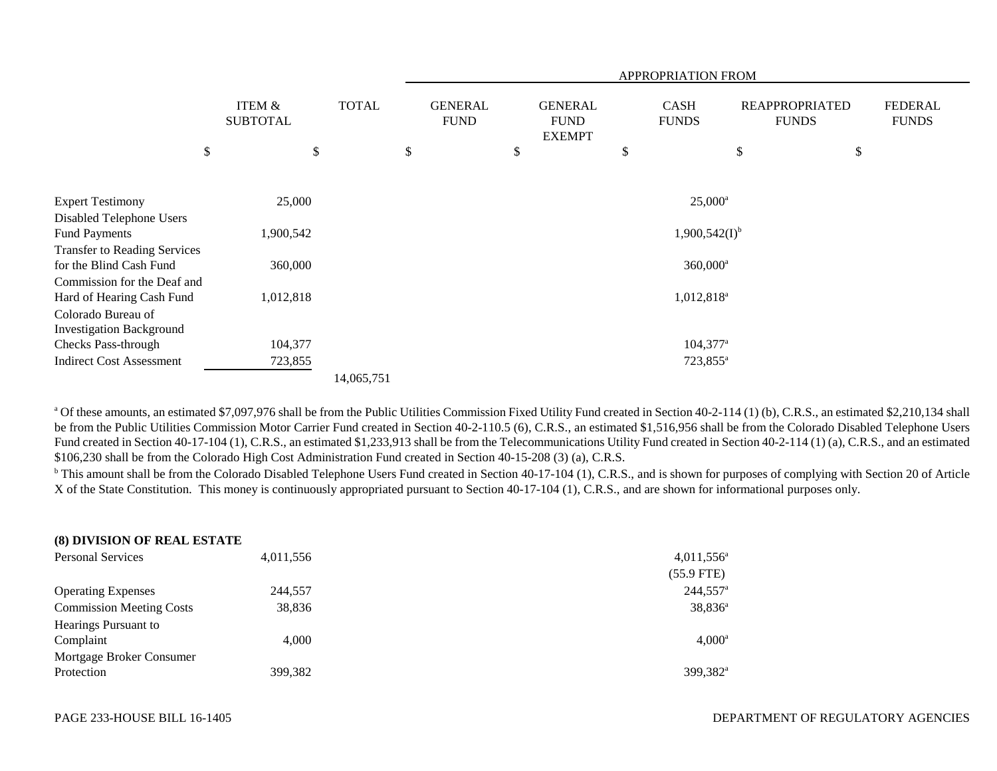|                                                                |                           |              |                               |                                                | APPROPRIATION FROM          |                                       |                                |
|----------------------------------------------------------------|---------------------------|--------------|-------------------------------|------------------------------------------------|-----------------------------|---------------------------------------|--------------------------------|
|                                                                | ITEM &<br><b>SUBTOTAL</b> | <b>TOTAL</b> | <b>GENERAL</b><br><b>FUND</b> | <b>GENERAL</b><br><b>FUND</b><br><b>EXEMPT</b> | <b>CASH</b><br><b>FUNDS</b> | <b>REAPPROPRIATED</b><br><b>FUNDS</b> | <b>FEDERAL</b><br><b>FUNDS</b> |
|                                                                | \$<br>\$                  |              | \$                            | \$                                             | \$                          | \$<br>\$                              |                                |
| <b>Expert Testimony</b>                                        | 25,000                    |              |                               |                                                | $25,000^{\rm a}$            |                                       |                                |
| Disabled Telephone Users<br><b>Fund Payments</b>               | 1,900,542                 |              |                               |                                                | $1,900,542(I)^{b}$          |                                       |                                |
| <b>Transfer to Reading Services</b><br>for the Blind Cash Fund | 360,000                   |              |                               |                                                | $360,000$ <sup>a</sup>      |                                       |                                |
| Commission for the Deaf and<br>Hard of Hearing Cash Fund       | 1,012,818                 |              |                               |                                                | $1,012,818^a$               |                                       |                                |
| Colorado Bureau of<br><b>Investigation Background</b>          |                           |              |                               |                                                |                             |                                       |                                |
| <b>Checks Pass-through</b>                                     | 104,377                   |              |                               |                                                | $104,377$ <sup>a</sup>      |                                       |                                |
| <b>Indirect Cost Assessment</b>                                | 723,855                   |              |                               |                                                | 723,855 <sup>a</sup>        |                                       |                                |
|                                                                |                           | 14,065,751   |                               |                                                |                             |                                       |                                |

<sup>a</sup> Of these amounts, an estimated \$7,097,976 shall be from the Public Utilities Commission Fixed Utility Fund created in Section 40-2-114 (1) (b), C.R.S., an estimated \$2,210,134 shall be from the Public Utilities Commission Motor Carrier Fund created in Section 40-2-110.5 (6), C.R.S., an estimated \$1,516,956 shall be from the Colorado Disabled Telephone Users Fund created in Section 40-17-104 (1), C.R.S., an estimated \$1,233,913 shall be from the Telecommunications Utility Fund created in Section 40-2-114 (1) (a), C.R.S., and an estimated \$106,230 shall be from the Colorado High Cost Administration Fund created in Section 40-15-208 (3) (a), C.R.S.

<sup>b</sup> This amount shall be from the Colorado Disabled Telephone Users Fund created in Section 40-17-104 (1), C.R.S., and is shown for purposes of complying with Section 20 of Article X of the State Constitution. This money is continuously appropriated pursuant to Section 40-17-104 (1), C.R.S., and are shown for informational purposes only.

#### **(8) DIVISION OF REAL ESTATE**

| Personal Services               | 4,011,556 | $4,011,556^{\circ}$    |  |  |
|---------------------------------|-----------|------------------------|--|--|
|                                 |           | $(55.9$ FTE)           |  |  |
| <b>Operating Expenses</b>       | 244,557   | $244,557$ <sup>a</sup> |  |  |
| <b>Commission Meeting Costs</b> | 38,836    | 38,836 <sup>a</sup>    |  |  |
| Hearings Pursuant to            |           |                        |  |  |
| Complaint                       | 4.000     | $4.000^{\circ}$        |  |  |
| Mortgage Broker Consumer        |           |                        |  |  |
| Protection                      | 399,382   | 399.382 <sup>a</sup>   |  |  |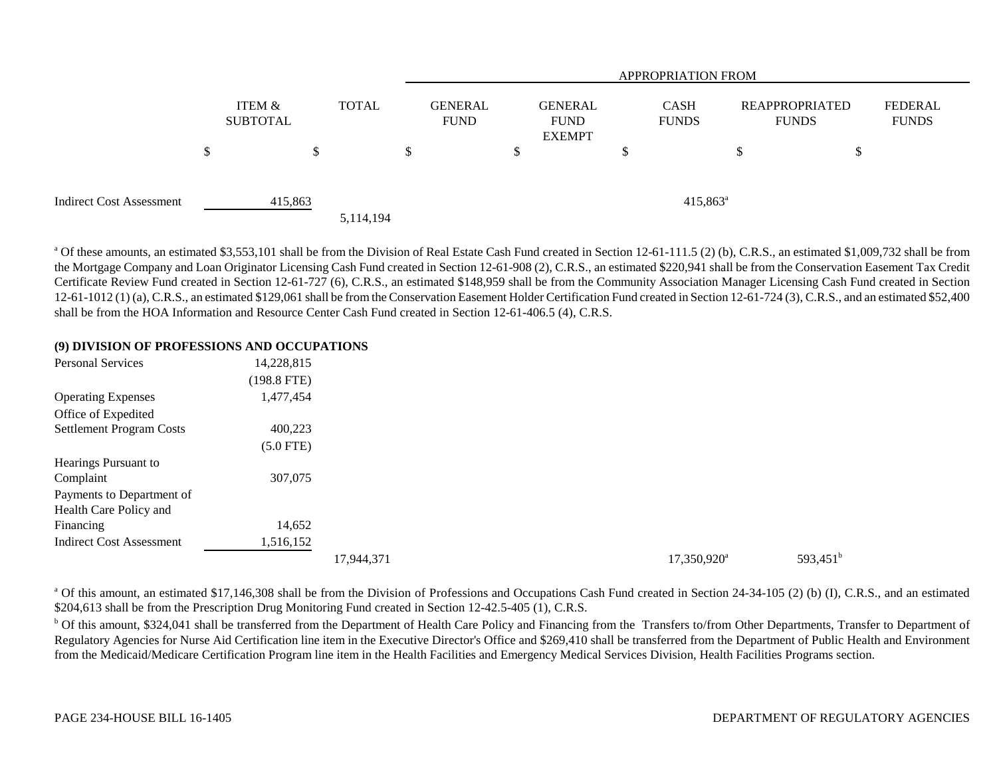|                                 |   |                           |   |              | <b>APPROPRIATION FROM</b> |                               |    |                                                |  |                             |  |                                |                         |
|---------------------------------|---|---------------------------|---|--------------|---------------------------|-------------------------------|----|------------------------------------------------|--|-----------------------------|--|--------------------------------|-------------------------|
|                                 |   | ITEM &<br><b>SUBTOTAL</b> |   | <b>TOTAL</b> |                           | <b>GENERAL</b><br><b>FUND</b> |    | <b>GENERAL</b><br><b>FUND</b><br><b>EXEMPT</b> |  | <b>CASH</b><br><b>FUNDS</b> |  | REAPPROPRIATED<br><b>FUNDS</b> | FEDERAL<br><b>FUNDS</b> |
|                                 | D |                           | Φ |              | У,                        |                               | \$ |                                                |  |                             |  | \$                             |                         |
| <b>Indirect Cost Assessment</b> |   | 415,863                   |   | 5,114,194    |                           |                               |    |                                                |  | $415,863^{\circ}$           |  |                                |                         |

<sup>a</sup> Of these amounts, an estimated \$3,553,101 shall be from the Division of Real Estate Cash Fund created in Section 12-61-111.5 (2) (b), C.R.S., an estimated \$1,009,732 shall be from the Mortgage Company and Loan Originator Licensing Cash Fund created in Section 12-61-908 (2), C.R.S., an estimated \$220,941 shall be from the Conservation Easement Tax Credit Certificate Review Fund created in Section 12-61-727 (6), C.R.S., an estimated \$148,959 shall be from the Community Association Manager Licensing Cash Fund created in Section 12-61-1012 (1) (a), C.R.S., an estimated \$129,061 shall be from the Conservation Easement Holder Certification Fund created in Section 12-61-724 (3), C.R.S., and an estimated \$52,400 shall be from the HOA Information and Resource Center Cash Fund created in Section 12-61-406.5 (4), C.R.S.

### **(9) DIVISION OF PROFESSIONS AND OCCUPATIONS**

| <b>Personal Services</b>        | 14,228,815    |            |                      |                      |
|---------------------------------|---------------|------------|----------------------|----------------------|
|                                 | $(198.8$ FTE) |            |                      |                      |
| <b>Operating Expenses</b>       | 1,477,454     |            |                      |                      |
| Office of Expedited             |               |            |                      |                      |
| <b>Settlement Program Costs</b> | 400,223       |            |                      |                      |
|                                 | $(5.0$ FTE)   |            |                      |                      |
| Hearings Pursuant to            |               |            |                      |                      |
| Complaint                       | 307,075       |            |                      |                      |
| Payments to Department of       |               |            |                      |                      |
| Health Care Policy and          |               |            |                      |                      |
| Financing                       | 14,652        |            |                      |                      |
| <b>Indirect Cost Assessment</b> | 1,516,152     |            |                      |                      |
|                                 |               | 17,944,371 | $17,350,920^{\circ}$ | 593,451 <sup>b</sup> |

<sup>a</sup> Of this amount, an estimated \$17,146,308 shall be from the Division of Professions and Occupations Cash Fund created in Section 24-34-105 (2) (b) (I), C.R.S., and an estimated \$204,613 shall be from the Prescription Drug Monitoring Fund created in Section 12-42.5-405 (1), C.R.S.

<sup>b</sup> Of this amount, \$324,041 shall be transferred from the Department of Health Care Policy and Financing from the Transfers to/from Other Departments, Transfer to Department of Regulatory Agencies for Nurse Aid Certification line item in the Executive Director's Office and \$269,410 shall be transferred from the Department of Public Health and Environment from the Medicaid/Medicare Certification Program line item in the Health Facilities and Emergency Medical Services Division, Health Facilities Programs section.